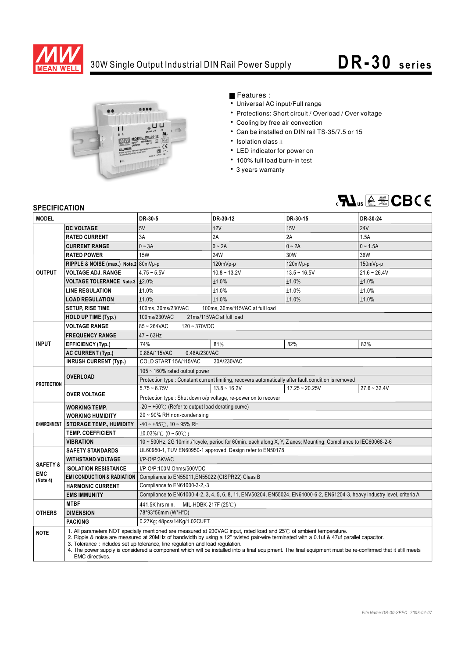

## 30W Single Output Industrial DIN Rail Power Supply **DR-30** series



Features :

- Universal AC input/Full range
- Protections: Short circuit / Overload / Over voltage
- Cooling by free air convection
- Can be installed on DIN rail TS-35/7.5 or 15
- $\cdot$  Isolation class  $\mathbb I$
- LED indicator for power on
- 100% full load burn-in test
- 3 years warranty



## **SPECIFICATION**

| <b>SPECIFICATION</b>                          |                                                                                                                                                                                                                                                                                                                                                                                                                                                                                                                                          |                                                                                                                           |                |                  |                |
|-----------------------------------------------|------------------------------------------------------------------------------------------------------------------------------------------------------------------------------------------------------------------------------------------------------------------------------------------------------------------------------------------------------------------------------------------------------------------------------------------------------------------------------------------------------------------------------------------|---------------------------------------------------------------------------------------------------------------------------|----------------|------------------|----------------|
| <b>MODEL</b>                                  |                                                                                                                                                                                                                                                                                                                                                                                                                                                                                                                                          | DR-30-5                                                                                                                   | DR-30-12       | DR-30-15         | DR-30-24       |
| <b>OUTPUT</b>                                 | <b>DC VOLTAGE</b>                                                                                                                                                                                                                                                                                                                                                                                                                                                                                                                        | 5V                                                                                                                        | 12V            | 15V              | <b>24V</b>     |
|                                               | <b>RATED CURRENT</b>                                                                                                                                                                                                                                                                                                                                                                                                                                                                                                                     | 3A                                                                                                                        | 2A             | 2A               | 1.5A           |
|                                               | <b>CURRENT RANGE</b>                                                                                                                                                                                                                                                                                                                                                                                                                                                                                                                     | $0 - 3A$                                                                                                                  | $0 - 2A$       | $0 \sim 2A$      | $0 - 1.5A$     |
|                                               | <b>RATED POWER</b>                                                                                                                                                                                                                                                                                                                                                                                                                                                                                                                       | <b>15W</b>                                                                                                                | 24W            | 30W              | 36W            |
|                                               | RIPPLE & NOISE (max.) Note.2 80mVp-p                                                                                                                                                                                                                                                                                                                                                                                                                                                                                                     |                                                                                                                           | 120mVp-p       | 120mVp-p         | 150mVp-p       |
|                                               | <b>VOLTAGE ADJ. RANGE</b>                                                                                                                                                                                                                                                                                                                                                                                                                                                                                                                | $4.75 - 5.5V$                                                                                                             | $10.8 - 13.2V$ | $13.5 - 16.5V$   | $21.6 - 26.4V$ |
|                                               | <b>VOLTAGE TOLERANCE Note.3</b>                                                                                                                                                                                                                                                                                                                                                                                                                                                                                                          | ±2.0%                                                                                                                     | ±1.0%          | ±1.0%            | ±1.0%          |
|                                               | <b>LINE REGULATION</b>                                                                                                                                                                                                                                                                                                                                                                                                                                                                                                                   | ±1.0%                                                                                                                     | ±1.0%          | ±1.0%            | ±1.0%          |
|                                               | <b>LOAD REGULATION</b>                                                                                                                                                                                                                                                                                                                                                                                                                                                                                                                   | ±1.0%                                                                                                                     | ±1.0%          | ±1.0%            | ±1.0%          |
|                                               | <b>SETUP, RISE TIME</b>                                                                                                                                                                                                                                                                                                                                                                                                                                                                                                                  | 100ms, 30ms/230VAC<br>100ms, 30ms/115VAC at full load                                                                     |                |                  |                |
|                                               | HOLD UP TIME (Typ.)                                                                                                                                                                                                                                                                                                                                                                                                                                                                                                                      | 100ms/230VAC<br>21ms/115VAC at full load                                                                                  |                |                  |                |
| <b>INPUT</b>                                  | <b>VOLTAGE RANGE</b>                                                                                                                                                                                                                                                                                                                                                                                                                                                                                                                     | 85~264VAC<br>$120 - 370VDC$                                                                                               |                |                  |                |
|                                               | <b>FREQUENCY RANGE</b>                                                                                                                                                                                                                                                                                                                                                                                                                                                                                                                   | $47 \sim 63$ Hz                                                                                                           |                |                  |                |
|                                               | <b>EFFICIENCY (Typ.)</b>                                                                                                                                                                                                                                                                                                                                                                                                                                                                                                                 | 74%                                                                                                                       | 81%            | 82%              | 83%            |
|                                               | <b>AC CURRENT (Typ.)</b>                                                                                                                                                                                                                                                                                                                                                                                                                                                                                                                 | 0.88A/115VAC<br>0.48A/230VAC                                                                                              |                |                  |                |
|                                               | <b>INRUSH CURRENT (Typ.)</b>                                                                                                                                                                                                                                                                                                                                                                                                                                                                                                             | COLD START 15A/115VAC<br>30A/230VAC                                                                                       |                |                  |                |
| <b>PROTECTION</b>                             | <b>OVERLOAD</b>                                                                                                                                                                                                                                                                                                                                                                                                                                                                                                                          | 105 ~ 160% rated output power                                                                                             |                |                  |                |
|                                               |                                                                                                                                                                                                                                                                                                                                                                                                                                                                                                                                          | Protection type : Constant current limiting, recovers automatically after fault condition is removed                      |                |                  |                |
|                                               | <b>OVER VOLTAGE</b>                                                                                                                                                                                                                                                                                                                                                                                                                                                                                                                      | $5.75 - 6.75V$                                                                                                            | $13.8 - 16.2V$ | $17.25 - 20.25V$ | $27.6 - 32.4V$ |
|                                               |                                                                                                                                                                                                                                                                                                                                                                                                                                                                                                                                          | Protection type: Shut down o/p voltage, re-power on to recover                                                            |                |                  |                |
| <b>ENVIRONMENT</b>                            | <b>WORKING TEMP.</b>                                                                                                                                                                                                                                                                                                                                                                                                                                                                                                                     | $-20 \sim +60^{\circ}$ (Refer to output load derating curve)                                                              |                |                  |                |
|                                               | <b>WORKING HUMIDITY</b>                                                                                                                                                                                                                                                                                                                                                                                                                                                                                                                  | 20~90% RH non-condensing                                                                                                  |                |                  |                |
|                                               | <b>STORAGE TEMP., HUMIDITY</b>                                                                                                                                                                                                                                                                                                                                                                                                                                                                                                           | $-40 - +85^{\circ}$ C, 10 ~ 95% RH                                                                                        |                |                  |                |
|                                               | <b>TEMP. COEFFICIENT</b>                                                                                                                                                                                                                                                                                                                                                                                                                                                                                                                 | $\pm 0.03\%$ (0 ~ 50°C)                                                                                                   |                |                  |                |
|                                               | <b>VIBRATION</b>                                                                                                                                                                                                                                                                                                                                                                                                                                                                                                                         | 10 ~ 500Hz, 2G 10min./1cycle, period for 60min. each along X, Y, Z axes; Mounting: Compliance to IEC60068-2-6             |                |                  |                |
|                                               | <b>SAFETY STANDARDS</b>                                                                                                                                                                                                                                                                                                                                                                                                                                                                                                                  | UL60950-1, TUV EN60950-1 approved, Design refer to EN50178                                                                |                |                  |                |
| <b>SAFETY &amp;</b><br><b>EMC</b><br>(Note 4) | <b>WITHSTAND VOLTAGE</b>                                                                                                                                                                                                                                                                                                                                                                                                                                                                                                                 | I/P-O/P:3KVAC                                                                                                             |                |                  |                |
|                                               | <b>ISOLATION RESISTANCE</b>                                                                                                                                                                                                                                                                                                                                                                                                                                                                                                              | I/P-O/P:100M Ohms/500VDC                                                                                                  |                |                  |                |
|                                               | <b>EMI CONDUCTION &amp; RADIATION</b>                                                                                                                                                                                                                                                                                                                                                                                                                                                                                                    | Compliance to EN55011, EN55022 (CISPR22) Class B                                                                          |                |                  |                |
|                                               | <b>HARMONIC CURRENT</b>                                                                                                                                                                                                                                                                                                                                                                                                                                                                                                                  | Compliance to EN61000-3-2,-3                                                                                              |                |                  |                |
|                                               | <b>EMS IMMUNITY</b>                                                                                                                                                                                                                                                                                                                                                                                                                                                                                                                      | Compliance to EN61000-4-2, 3, 4, 5, 6, 8, 11, ENV50204, EN55024, EN61000-6-2, EN61204-3, heavy industry level, criteria A |                |                  |                |
| <b>OTHERS</b>                                 | <b>MTBF</b>                                                                                                                                                                                                                                                                                                                                                                                                                                                                                                                              | 441.5K hrs min.<br>MIL-HDBK-217F (25℃)                                                                                    |                |                  |                |
|                                               | <b>DIMENSION</b>                                                                                                                                                                                                                                                                                                                                                                                                                                                                                                                         | 78*93*56mm (W*H*D)                                                                                                        |                |                  |                |
|                                               | <b>PACKING</b>                                                                                                                                                                                                                                                                                                                                                                                                                                                                                                                           | 0.27Kg; 48pcs/14Kg/1.02CUFT                                                                                               |                |                  |                |
| <b>NOTE</b>                                   | 1. All parameters NOT specially mentioned are measured at 230VAC input, rated load and 25°C of ambient temperature.<br>2. Ripple & noise are measured at 20MHz of bandwidth by using a 12" twisted pair-wire terminated with a 0.1uf & 47uf parallel capacitor.<br>3. Tolerance: includes set up tolerance, line regulation and load regulation.<br>4. The power supply is considered a component which will be installed into a final equipment. The final equipment must be re-confirmed that it still meets<br><b>EMC</b> directives. |                                                                                                                           |                |                  |                |